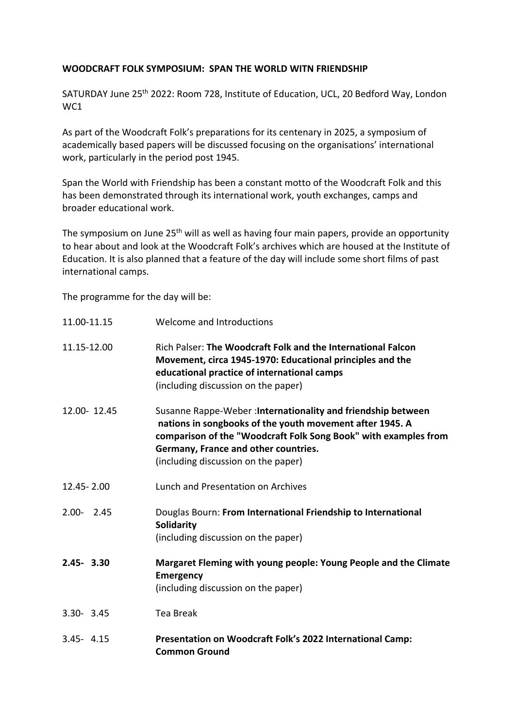## **WOODCRAFT FOLK SYMPOSIUM: SPAN THE WORLD WITN FRIENDSHIP**

SATURDAY June 25th 2022: Room 728, Institute of Education, UCL, 20 Bedford Way, London WC1

As part of the Woodcraft Folk's preparations for its centenary in 2025, a symposium of academically based papers will be discussed focusing on the organisations' international work, particularly in the period post 1945.

Span the World with Friendship has been a constant motto of the Woodcraft Folk and this has been demonstrated through its international work, youth exchanges, camps and broader educational work.

The symposium on June 25<sup>th</sup> will as well as having four main papers, provide an opportunity to hear about and look at the Woodcraft Folk's archives which are housed at the Institute of Education. It is also planned that a feature of the day will include some short films of past international camps.

The programme for the day will be:

| 11.00-11.15   |             | Welcome and Introductions                                                                                                                                                                                                                                                  |
|---------------|-------------|----------------------------------------------------------------------------------------------------------------------------------------------------------------------------------------------------------------------------------------------------------------------------|
| 11.15-12.00   |             | Rich Palser: The Woodcraft Folk and the International Falcon<br>Movement, circa 1945-1970: Educational principles and the<br>educational practice of international camps<br>(including discussion on the paper)                                                            |
|               | 12.00-12.45 | Susanne Rappe-Weber: Internationality and friendship between<br>nations in songbooks of the youth movement after 1945. A<br>comparison of the "Woodcraft Folk Song Book" with examples from<br>Germany, France and other countries.<br>(including discussion on the paper) |
| 12.45 - 2.00  |             | Lunch and Presentation on Archives                                                                                                                                                                                                                                         |
| $2.00 - 2.45$ |             | Douglas Bourn: From International Friendship to International<br><b>Solidarity</b><br>(including discussion on the paper)                                                                                                                                                  |
| $2.45 - 3.30$ |             | Margaret Fleming with young people: Young People and the Climate<br><b>Emergency</b><br>(including discussion on the paper)                                                                                                                                                |
| $3.30 - 3.45$ |             | <b>Tea Break</b>                                                                                                                                                                                                                                                           |
| $3.45 - 4.15$ |             | Presentation on Woodcraft Folk's 2022 International Camp:<br><b>Common Ground</b>                                                                                                                                                                                          |